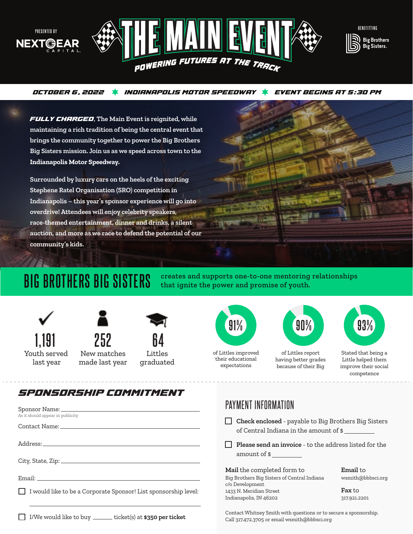





#### **OCTOBER 6, 2022 INDIANAPOLIS MOTOR SPEEDWAY EVENT BEGINS AT 5:30 PM**

**FULLY CHARGED, The Main Event is reignited, while maintaining a rich tradition of being the central event that brings the community together to power the Big Brothers Big Sisters mission. Join us as we speed across town to the Indianapolis Motor Speedway.**

**Surrounded by luxury cars on the heels of the exciting Stephene Ratel Organisation (SRO) competition in Indianapolis – this year's sponsor experience will go into overdrive! Attendees will enjoy celebrity speakers, race-themed entertainment, dinner and drinks, a silent auction, and more as we race to defend the potential of our community's kids.**



**BIG BROTHERS BIG SISTERS** creates and supports one-to-one mentoring relationships **BIG BROTHERS BIG SISTERS** that ignite the power and promise of youth. that ignite the power and promise of youth.

PAYMENT INFORMATION





New matches made last year

**64** Littles graduated



their educational expectations



of Littles report having better grades because of their Big



Stated that being a Little helped them improve their social competence

### **SPONSORSHIP COMMITMENT**

|                                                                 | PAYMENT INFURMATION                                                                                                                               |                                                                       |
|-----------------------------------------------------------------|---------------------------------------------------------------------------------------------------------------------------------------------------|-----------------------------------------------------------------------|
| As it should appear in publicity                                | <b>Check enclosed</b> - payable to Big Brothers Big Sisters<br>of Central Indiana in the amount of \$                                             |                                                                       |
|                                                                 | $\Box$ Please send an invoice - to the address listed for the<br>amount of \$                                                                     |                                                                       |
| I would like to be a Corporate Sponsor! List sponsorship level: | Mail the completed form to<br>Big Brothers Big Sisters of Central Indiana<br>c/o Development<br>1433 N. Meridian Street<br>Indianapolis, IN 46202 | <b>Email</b> to<br>wsmith@bbbsci.org<br><b>Fax</b> to<br>317.921.2201 |
| I/We would like to buy _______ ticket(s) at \$350 per ticket    | Contact Whitney Smith with questions or to secure a sponsorship.<br>Call 317.472.3705 or email wsmith@bbbsci.org                                  |                                                                       |